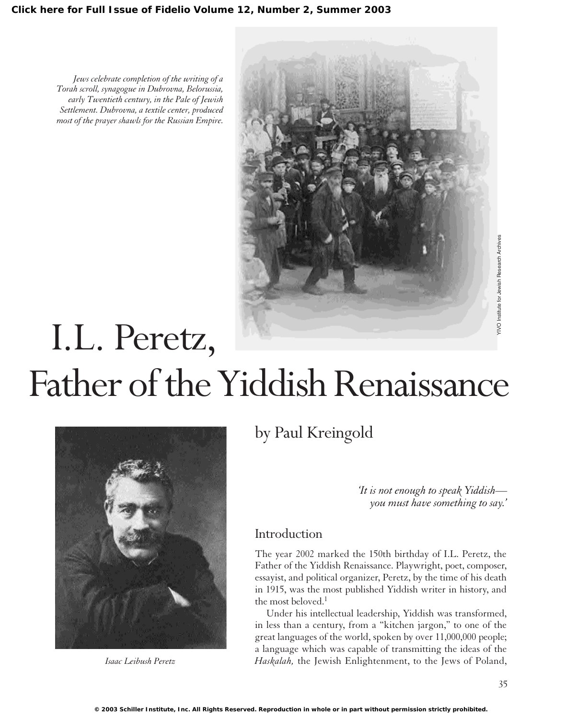*Jews celebrate completion of the writing of a Torah scroll, synagogue in Dubrovna, Belorussia, early Twentieth century, in the Pale of Jewish Settlement. Dubrovna, a textile center, produced most of the prayer shawls for the Russian Empire.*



# **TVO** Institute for Jewish Research Archives YIVO Institute for Jewish Research Archives I.L. Peretz, Father of the Yiddish Renaissance



*Isaac Leibush Peretz*

by Paul Kreingold

*'It is not enough to speak Yiddish you must have something to say.'*

## Introduction

The year 2002 marked the 150th birthday of I.L. Peretz, the Father of the Yiddish Renaissance. Playwright, poet, composer, essayist, and political organizer, Peretz, by the time of his death in 1915, was the most published Yiddish writer in history, and the most beloved.<sup>1</sup>

Under his intellectual leadership, Yiddish was transformed, in less than a century, from a "kitchen jargon," to one of the great languages of the world, spoken by over 11,000,000 people; a language which was capable of transmitting the ideas of the *Haskalah,* the Jewish Enlightenment, to the Jews of Poland,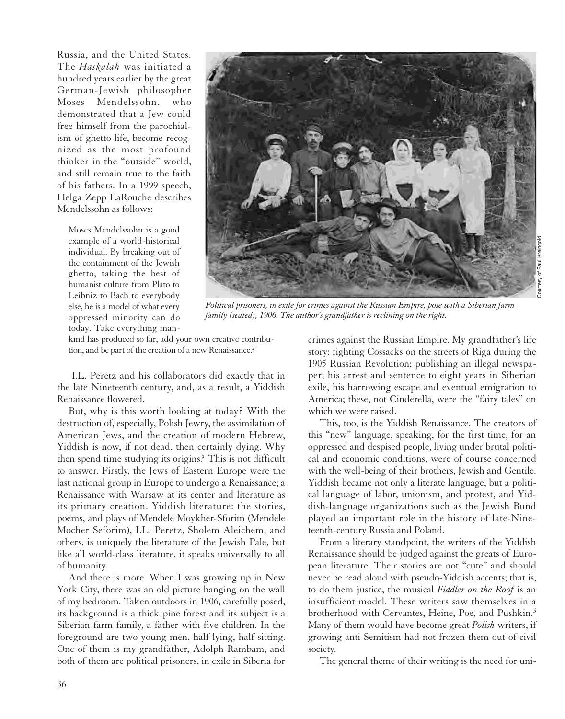Russia, and the United States. The *Haskalah* was initiated a hundred years earlier by the great German-Jewish philosopher Moses Mendelssohn, who demonstrated that a Jew could free himself from the parochialism of ghetto life, become recognized as the most profound thinker in the "outside" world, and still remain true to the faith of his fathers. In a 1999 speech, Helga Zepp LaRouche describes Mendelssohn as follows:

Moses Mendelssohn is a good example of a world-historical individual. By breaking out of the containment of the Jewish ghetto, taking the best of humanist culture from Plato to Leibniz to Bach to everybody else, he is a model of what every oppressed minority can do today. Take everything man-



*Political prisoners, in exile for crimes against the Russian Empire, pose with a Siberian farm family (seated), 1906. The author's grandfather is reclining on the right.*

kind has produced so far, add your own creative contribution, and be part of the creation of a new Renaissance.<sup>2</sup>

I.L. Peretz and his collaborators did exactly that in the late Nineteenth century, and, as a result, a Yiddish Renaissance flowered.

But, why is this worth looking at today? With the destruction of, especially, Polish Jewry, the assimilation of American Jews, and the creation of modern Hebrew, Yiddish is now, if not dead, then certainly dying. Why then spend time studying its origins? This is not difficult to answer. Firstly, the Jews of Eastern Europe were the last national group in Europe to undergo a Renaissance; a Renaissance with Warsaw at its center and literature as its primary creation. Yiddish literature: the stories, poems, and plays of Mendele Moykher-Sforim (Mendele Mocher Seforim), I.L. Peretz, Sholem Aleichem, and others, is uniquely the literature of the Jewish Pale, but like all world-class literature, it speaks universally to all of humanity.

And there is more. When I was growing up in New York City, there was an old picture hanging on the wall of my bedroom. Taken outdoors in 1906, carefully posed, its background is a thick pine forest and its subject is a Siberian farm family, a father with five children. In the foreground are two young men, half-lying, half-sitting. One of them is my grandfather, Adolph Rambam, and both of them are political prisoners, in exile in Siberia for

crimes against the Russian Empire. My grandfather's life story: fighting Cossacks on the streets of Riga during the 1905 Russian Revolution; publishing an illegal newspaper; his arrest and sentence to eight years in Siberian exile, his harrowing escape and eventual emigration to America; these, not Cinderella, were the "fairy tales" on which we were raised.

This, too, is the Yiddish Renaissance. The creators of this "new" language, speaking, for the first time, for an oppressed and despised people, living under brutal political and economic conditions, were of course concerned with the well-being of their brothers, Jewish and Gentile. Yiddish became not only a literate language, but a political language of labor, unionism, and protest, and Yiddish-language organizations such as the Jewish Bund played an important role in the history of late-Nineteenth-century Russia and Poland.

From a literary standpoint, the writers of the Yiddish Renaissance should be judged against the greats of European literature. Their stories are not "cute" and should never be read aloud with pseudo-Yiddish accents; that is, to do them justice, the musical *Fiddler on the Roof* is an insufficient model. These writers saw themselves in a brotherhood with Cervantes, Heine, Poe, and Pushkin.3 Many of them would have become great *Polish* writers, if growing anti-Semitism had not frozen them out of civil society.

The general theme of their writing is the need for uni-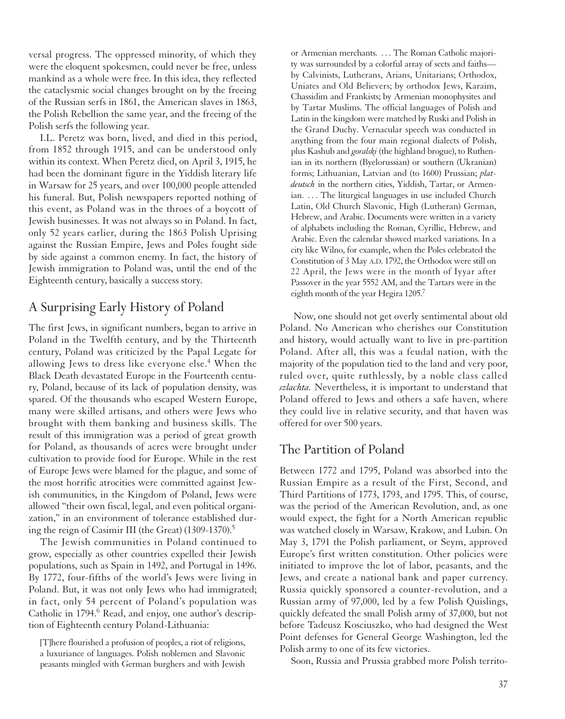versal progress. The oppressed minority, of which they were the eloquent spokesmen, could never be free, unless mankind as a whole were free. In this idea, they reflected the cataclysmic social changes brought on by the freeing of the Russian serfs in 1861, the American slaves in 1863, the Polish Rebellion the same year, and the freeing of the Polish serfs the following year.

I.L. Peretz was born, lived, and died in this period, from 1852 through 1915, and can be understood only within its context. When Peretz died, on April 3, 1915, he had been the dominant figure in the Yiddish literary life in Warsaw for 25 years, and over 100,000 people attended his funeral. But, Polish newspapers reported nothing of this event, as Poland was in the throes of a boycott of Jewish businesses. It was not always so in Poland. In fact, only 52 years earlier, during the 1863 Polish Uprising against the Russian Empire, Jews and Poles fought side by side against a common enemy. In fact, the history of Jewish immigration to Poland was, until the end of the Eighteenth century, basically a success story.

# A Surprising Early History of Poland

The first Jews, in significant numbers, began to arrive in Poland in the Twelfth century, and by the Thirteenth century, Poland was criticized by the Papal Legate for allowing Jews to dress like everyone else.<sup>4</sup> When the Black Death devastated Europe in the Fourteenth century, Poland, because of its lack of population density, was spared. Of the thousands who escaped Western Europe, many were skilled artisans, and others were Jews who brought with them banking and business skills. The result of this immigration was a period of great growth for Poland, as thousands of acres were brought under cultivation to provide food for Europe. While in the rest of Europe Jews were blamed for the plague, and some of the most horrific atrocities were committed against Jewish communities, in the Kingdom of Poland, Jews were allowed "their own fiscal, legal, and even political organization," in an environment of tolerance established during the reign of Casimir III (the Great) (1309-1370).<sup>5</sup>

The Jewish communities in Poland continued to grow, especially as other countries expelled their Jewish populations, such as Spain in 1492, and Portugal in 1496. By 1772, four-fifths of the world's Jews were living in Poland. But, it was not only Jews who had immigrated; in fact, only 54 percent of Poland's population was Catholic in 1794.<sup>6</sup> Read, and enjoy, one author's description of Eighteenth century Poland-Lithuania:

or Armenian merchants. . . . The Roman Catholic majority was surrounded by a colorful array of sects and faiths by Calvinists, Lutherans, Arians, Unitarians; Orthodox, Uniates and Old Believers; by orthodox Jews, Karaim, Chassidim and Frankists; by Armenian monophysites and by Tartar Muslims. The official languages of Polish and Latin in the kingdom were matched by Ruski and Polish in the Grand Duchy. Vernacular speech was conducted in anything from the four main regional dialects of Polish, plus Kashub and *goralski* (the highland brogue), to Ruthenian in its northern (Byelorussian) or southern (Ukranian) forms; Lithuanian, Latvian and (to 1600) Prussian; *platdeutsch* in the northern cities, Yiddish, Tartar, or Armenian. . . . The liturgical languages in use included Church Latin, Old Church Slavonic, High (Lutheran) German, Hebrew, and Arabic. Documents were written in a variety of alphabets including the Roman, Cyrillic, Hebrew, and Arabic. Even the calendar showed marked variations. In a city like Wilno, for example, when the Poles celebrated the Constitution of 3 May A.D. 1792, the Orthodox were still on 22 April, the Jews were in the month of Iyyar after Passover in the year 5552 AM, and the Tartars were in the eighth month of the year Hegira 1205.7

Now, one should not get overly sentimental about old Poland. No American who cherishes our Constitution and history, would actually want to live in pre-partition Poland. After all, this was a feudal nation, with the majority of the population tied to the land and very poor, ruled over, quite ruthlessly, by a noble class called *szlachta.* Nevertheless, it is important to understand that Poland offered to Jews and others a safe haven, where they could live in relative security, and that haven was offered for over 500 years.

## The Partition of Poland

Between 1772 and 1795, Poland was absorbed into the Russian Empire as a result of the First, Second, and Third Partitions of 1773, 1793, and 1795. This, of course, was the period of the American Revolution, and, as one would expect, the fight for a North American republic was watched closely in Warsaw, Krakow, and Lubin. On May 3, 1791 the Polish parliament, or Seym, approved Europe's first written constitution. Other policies were initiated to improve the lot of labor, peasants, and the Jews, and create a national bank and paper currency. Russia quickly sponsored a counter-revolution, and a Russian army of 97,000, led by a few Polish Quislings, quickly defeated the small Polish army of 37,000, but not before Tadeusz Kosciuszko, who had designed the West Point defenses for General George Washington, led the Polish army to one of its few victories.

Soon, Russia and Prussia grabbed more Polish territo-

<sup>[</sup>T]here flourished a profusion of peoples, a riot of religions, a luxuriance of languages. Polish noblemen and Slavonic peasants mingled with German burghers and with Jewish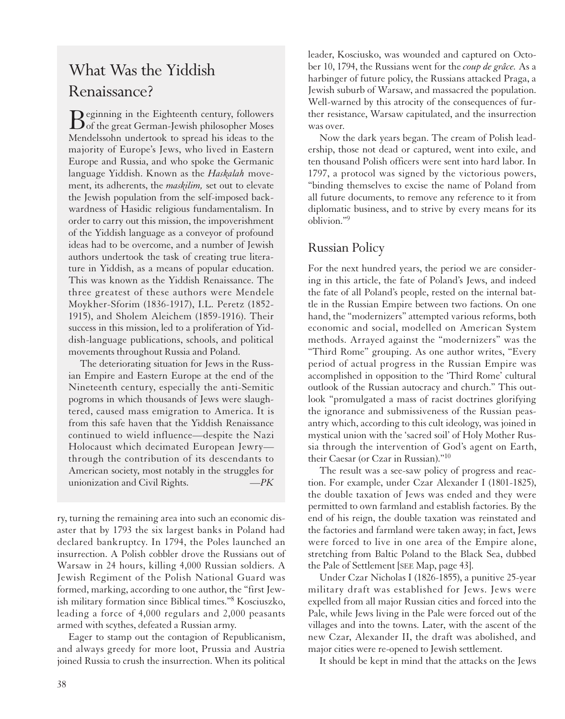# What Was the Yiddish Renaissance?

Beginning in the Eighteenth century, followers<br>
of the great German-Jewish philosopher Moses Mendelssohn undertook to spread his ideas to the majority of Europe's Jews, who lived in Eastern Europe and Russia, and who spoke the Germanic language Yiddish. Known as the *Haskalah* movement, its adherents, the *maskilim,* set out to elevate the Jewish population from the self-imposed backwardness of Hasidic religious fundamentalism. In order to carry out this mission, the impoverishment of the Yiddish language as a conveyor of profound ideas had to be overcome, and a number of Jewish authors undertook the task of creating true literature in Yiddish, as a means of popular education. This was known as the Yiddish Renaissance. The three greatest of these authors were Mendele Moykher-Sforim (1836-1917), I.L. Peretz (1852- 1915), and Sholem Aleichem (1859-1916). Their success in this mission, led to a proliferation of Yiddish-language publications, schools, and political movements throughout Russia and Poland.

The deteriorating situation for Jews in the Russian Empire and Eastern Europe at the end of the Nineteenth century, especially the anti-Semitic pogroms in which thousands of Jews were slaughtered, caused mass emigration to America. It is from this safe haven that the Yiddish Renaissance continued to wield influence—despite the Nazi Holocaust which decimated European Jewry through the contribution of its descendants to American society, most notably in the struggles for unionization and Civil Rights. *—PK*

ry, turning the remaining area into such an economic disaster that by 1793 the six largest banks in Poland had declared bankruptcy. In 1794, the Poles launched an insurrection. A Polish cobbler drove the Russians out of Warsaw in 24 hours, killing 4,000 Russian soldiers. A Jewish Regiment of the Polish National Guard was formed, marking, according to one author, the "first Jewish military formation since Biblical times."8 Kosciuszko, leading a force of 4,000 regulars and 2,000 peasants armed with scythes, defeated a Russian army.

Eager to stamp out the contagion of Republicanism, and always greedy for more loot, Prussia and Austria joined Russia to crush the insurrection. When its political leader, Kosciusko, was wounded and captured on October 10, 1794, the Russians went for the *coup de grâce.* As a harbinger of future policy, the Russians attacked Praga, a Jewish suburb of Warsaw, and massacred the population. Well-warned by this atrocity of the consequences of further resistance, Warsaw capitulated, and the insurrection was over.

Now the dark years began. The cream of Polish leadership, those not dead or captured, went into exile, and ten thousand Polish officers were sent into hard labor. In 1797, a protocol was signed by the victorious powers, "binding themselves to excise the name of Poland from all future documents, to remove any reference to it from diplomatic business, and to strive by every means for its oblivion."9

# Russian Policy

For the next hundred years, the period we are considering in this article, the fate of Poland's Jews, and indeed the fate of all Poland's people, rested on the internal battle in the Russian Empire between two factions. On one hand, the "modernizers" attempted various reforms, both economic and social, modelled on American System methods. Arrayed against the "modernizers" was the "Third Rome" grouping. As one author writes, "Every period of actual progress in the Russian Empire was accomplished in opposition to the 'Third Rome' cultural outlook of the Russian autocracy and church." This outlook "promulgated a mass of racist doctrines glorifying the ignorance and submissiveness of the Russian peasantry which, according to this cult ideology, was joined in mystical union with the 'sacred soil' of Holy Mother Russia through the intervention of God's agent on Earth, their Caesar (or Czar in Russian)."10

The result was a see-saw policy of progress and reaction. For example, under Czar Alexander I (1801-1825), the double taxation of Jews was ended and they were permitted to own farmland and establish factories. By the end of his reign, the double taxation was reinstated and the factories and farmland were taken away; in fact, Jews were forced to live in one area of the Empire alone, stretching from Baltic Poland to the Black Sea, dubbed the Pale of Settlement [SEE Map, page 43].

Under Czar Nicholas I (1826-1855), a punitive 25-year military draft was established for Jews. Jews were expelled from all major Russian cities and forced into the Pale, while Jews living in the Pale were forced out of the villages and into the towns. Later, with the ascent of the new Czar, Alexander II, the draft was abolished, and major cities were re-opened to Jewish settlement.

It should be kept in mind that the attacks on the Jews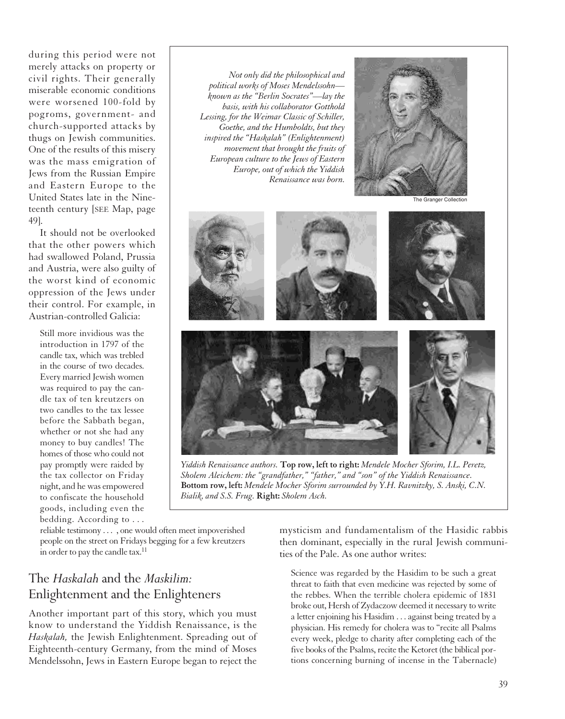during this period were not merely attacks on property or civil rights. Their generally miserable economic conditions were worsened 100-fold by pogroms, government- and church-supported attacks by thugs on Jewish communities. One of the results of this misery was the mass emigration of Jews from the Russian Empire and Eastern Europe to the United States late in the Nineteenth century [SEE Map, page 49].

It should not be overlooked that the other powers which had swallowed Poland, Prussia and Austria, were also guilty of the worst kind of economic oppression of the Jews under their control. For example, in Austrian-controlled Galicia:

Still more invidious was the introduction in 1797 of the candle tax, which was trebled in the course of two decades. Every married Jewish women was required to pay the candle tax of ten kreutzers on two candles to the tax lessee before the Sabbath began, whether or not she had any money to buy candles! The homes of those who could not pay promptly were raided by the tax collector on Friday night, and he was empowered to confiscate the household goods, including even the bedding. According to . . .

*Not only did the philosophical and political works of Moses Mendelssohn known as the "Berlin Socrates"—lay the basis, with his collaborator Gotthold Lessing, for the Weimar Classic of Schiller, Goethe, and the Humboldts, but they inspired the "Haskalah" (Enlightenment) movement that brought the fruits of European culture to the Jews of Eastern Europe, out of which the Yiddish Renaissance was born.*



The Granger Collect



*Yiddish Renaissance authors.* **Top row, left to right:** *Mendele Mocher Sforim, I.L. Peretz, Sholem Aleichem: the "grandfather," "father," and "son" of the Yiddish Renaissance.*  **Bottom row, left:** *Mendele Mocher Sforim surrounded by Y.H. Ravnitzky, S. Anski, C.N. Bialik, and S.S. Frug.* **Right:** *Sholem Asch.*

reliable testimony . . . , one would often meet impoverished people on the street on Fridays begging for a few kreutzers in order to pay the candle tax.<sup>11</sup>

# The *Haskalah* and the *Maskilim:* Enlightenment and the Enlighteners

Another important part of this story, which you must know to understand the Yiddish Renaissance, is the *Haskalah,* the Jewish Enlightenment. Spreading out of Eighteenth-century Germany, from the mind of Moses Mendelssohn, Jews in Eastern Europe began to reject the

mysticism and fundamentalism of the Hasidic rabbis then dominant, especially in the rural Jewish communities of the Pale. As one author writes:

Science was regarded by the Hasidim to be such a great threat to faith that even medicine was rejected by some of the rebbes. When the terrible cholera epidemic of 1831 broke out, Hersh of Zydaczow deemed it necessary to write a letter enjoining his Hasidim . . . against being treated by a physician. His remedy for cholera was to "recite all Psalms every week, pledge to charity after completing each of the five books of the Psalms, recite the Ketoret (the biblical portions concerning burning of incense in the Tabernacle)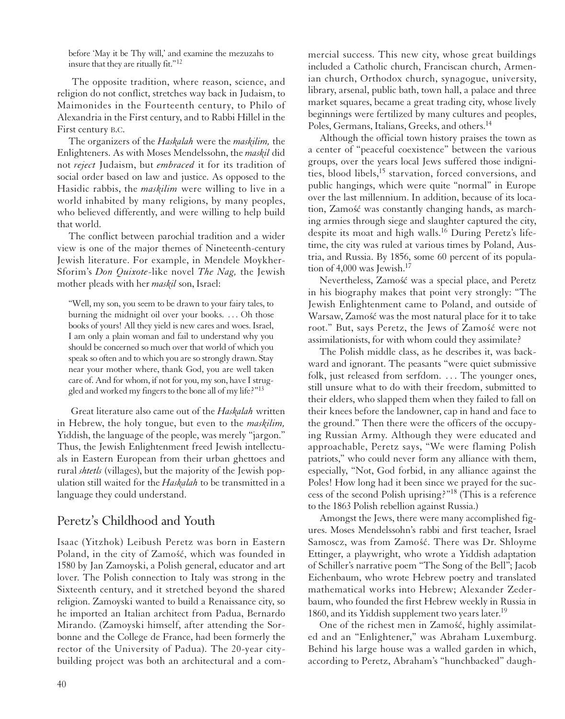before 'May it be Thy will,' and examine the mezuzahs to insure that they are ritually fit."<sup>12</sup>

The opposite tradition, where reason, science, and religion do not conflict, stretches way back in Judaism, to Maimonides in the Fourteenth century, to Philo of Alexandria in the First century, and to Rabbi Hillel in the First century B.C.

The organizers of the *Haskalah* were the *maskilim,* the Enlighteners. As with Moses Mendelssohn, the *maskil* did not *reject* Judaism, but *embraced* it for its tradition of social order based on law and justice. As opposed to the Hasidic rabbis, the *maskilim* were willing to live in a world inhabited by many religions, by many peoples, who believed differently, and were willing to help build that world.

The conflict between parochial tradition and a wider view is one of the major themes of Nineteenth-century Jewish literature. For example, in Mendele Moykher-Sforim's *Don Quixote*-like novel *The Nag,* the Jewish mother pleads with her *maskil* son, Israel:

"Well, my son, you seem to be drawn to your fairy tales, to burning the midnight oil over your books. . . . Oh those books of yours! All they yield is new cares and woes. Israel, I am only a plain woman and fail to understand why you should be concerned so much over that world of which you speak so often and to which you are so strongly drawn. Stay near your mother where, thank God, you are well taken care of. And for whom, if not for you, my son, have I struggled and worked my fingers to the bone all of my life?"<sup>13</sup>

Great literature also came out of the *Haskalah* written in Hebrew, the holy tongue, but even to the *maskilim,* Yiddish, the language of the people, was merely "jargon." Thus, the Jewish Enlightenment freed Jewish intellectuals in Eastern European from their urban ghettoes and rural *shtetls* (villages), but the majority of the Jewish population still waited for the *Haskalah* to be transmitted in a language they could understand.

# Peretz's Childhood and Youth

Isaac (Yitzhok) Leibush Peretz was born in Eastern Poland, in the city of Zamość, which was founded in 1580 by Jan Zamoyski, a Polish general, educator and art lover. The Polish connection to Italy was strong in the Sixteenth century, and it stretched beyond the shared religion. Zamoyski wanted to build a Renaissance city, so he imported an Italian architect from Padua, Bernardo Mirando. (Zamoyski himself, after attending the Sorbonne and the College de France, had been formerly the rector of the University of Padua). The 20-year citybuilding project was both an architectural and a com-

mercial success. This new city, whose great buildings included a Catholic church, Franciscan church, Armenian church, Orthodox church, synagogue, university, library, arsenal, public bath, town hall, a palace and three market squares, became a great trading city, whose lively beginnings were fertilized by many cultures and peoples, Poles, Germans, Italians, Greeks, and others.<sup>14</sup>

Although the official town history praises the town as a center of "peaceful coexistence" between the various groups, over the years local Jews suffered those indignities, blood libels,<sup>15</sup> starvation, forced conversions, and public hangings, which were quite "normal" in Europe over the last millennium. In addition, because of its location, Zamość was constantly changing hands, as marching armies through siege and slaughter captured the city, despite its moat and high walls.<sup>16</sup> During Peretz's lifetime, the city was ruled at various times by Poland, Austria, and Russia. By 1856, some 60 percent of its population of  $4,000$  was Jewish.<sup>17</sup>

Nevertheless, Zamość was a special place, and Peretz in his biography makes that point very strongly: "The Jewish Enlightenment came to Poland, and outside of Warsaw, Zamość was the most natural place for it to take root." But, says Peretz, the Jews of Zamość were not assimilationists, for with whom could they assimilate?

The Polish middle class, as he describes it, was backward and ignorant. The peasants "were quiet submissive folk, just released from serfdom. ... The younger ones, still unsure what to do with their freedom, submitted to their elders, who slapped them when they failed to fall on their knees before the landowner, cap in hand and face to the ground." Then there were the officers of the occupying Russian Army. Although they were educated and approachable, Peretz says, "We were flaming Polish patriots," who could never form any alliance with them, especially, "Not, God forbid, in any alliance against the Poles! How long had it been since we prayed for the success of the second Polish uprising?"18 (This is a reference to the 1863 Polish rebellion against Russia.)

Amongst the Jews, there were many accomplished figures. Moses Mendelssohn's rabbi and first teacher, Israel Samoscz, was from Zamość. There was Dr. Shloyme Ettinger, a playwright, who wrote a Yiddish adaptation of Schiller's narrative poem "The Song of the Bell"; Jacob Eichenbaum, who wrote Hebrew poetry and translated mathematical works into Hebrew; Alexander Zederbaum, who founded the first Hebrew weekly in Russia in 1860, and its Yiddish supplement two years later.<sup>19</sup>

One of the richest men in Zamość, highly assimilated and an "Enlightener," was Abraham Luxemburg. Behind his large house was a walled garden in which, according to Peretz, Abraham's "hunchbacked" daugh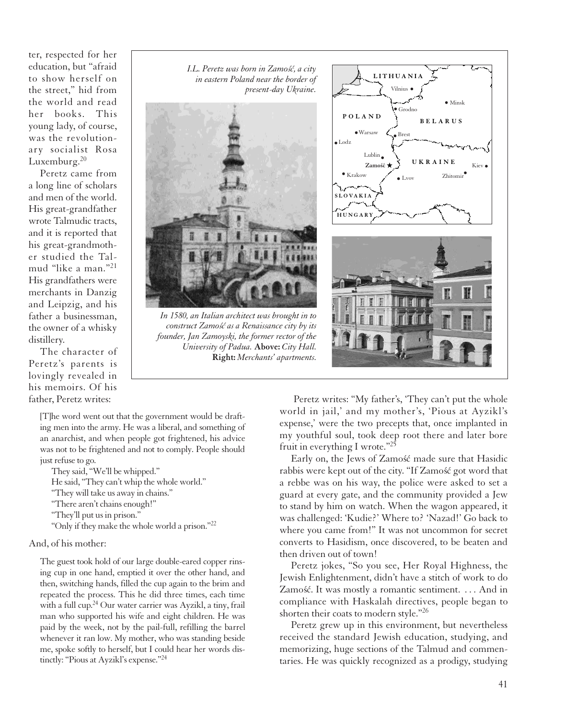ter, respected for her education, but "afraid to show herself on the street," hid from the world and read her books. This young lady, of course, was the revolutionary socialist Rosa Luxemburg.<sup>20</sup>

Peretz came from a long line of scholars and men of the world. His great-grandfather wrote Talmudic tracts, and it is reported that his great-grandmother studied the Talmud "like a man."<sup>21</sup> His grandfathers were merchants in Danzig and Leipzig, and his father a businessman, the owner of a whisky distillery.

The character of Peretz's parents is lovingly revealed in his memoirs. Of his father, Peretz writes:

*I.L. Peretz was born in Zamos´´c, a city in eastern Poland near the border of present-day Ukraine.*



*In 1580, an Italian architect was brought in to construct Zamo´s´c as a Renaissance city by its founder, Jan Zamoyski, the former rector of the University of Padua.* **Above:** *City Hall.*  **Right:** *Merchants' apartments.*

**Zamo´s ´c ★ LITHUANIA** Vilnius Minsk Grodno **POLAND B ELARUS** Warsaw Brest Lodz Lublin. **U KRAINE** Zamość + Kiev  $\bullet$  Krakow Zhitomir  $\bullet$  Lvoy **SLOVAKIA HUNGARY** H I

[T]he word went out that the government would be drafting men into the army. He was a liberal, and something of an anarchist, and when people got frightened, his advice was not to be frightened and not to comply. People should just refuse to go.

They said, "We'll be whipped."

He said, "They can't whip the whole world."

- "They will take us away in chains."
- "There aren't chains enough!"
- "They'll put us in prison."

"Only if they make the whole world a prison."22

#### And, of his mother:

The guest took hold of our large double-eared copper rinsing cup in one hand, emptied it over the other hand, and then, switching hands, filled the cup again to the brim and repeated the process. This he did three times, each time with a full cup.<sup>24</sup> Our water carrier was Ayzikl, a tiny, frail man who supported his wife and eight children. He was paid by the week, not by the pail-full, refilling the barrel whenever it ran low. My mother, who was standing beside me, spoke softly to herself, but I could hear her words distinctly: "Pious at Ayzikl's expense."24

Peretz writes: "My father's, 'They can't put the whole world in jail,' and my mother's, 'Pious at Ayzikl's expense,' were the two precepts that, once implanted in my youthful soul, took deep root there and later bore fruit in everything I wrote."25

Early on, the Jews of Zamość made sure that Hasidic rabbis were kept out of the city. "If Zamość got word that a rebbe was on his way, the police were asked to set a guard at every gate, and the community provided a Jew to stand by him on watch. When the wagon appeared, it was challenged: 'Kudie?' Where to? 'Nazad!' Go back to where you came from!" It was not uncommon for secret converts to Hasidism, once discovered, to be beaten and then driven out of town!

Peretz jokes, "So you see, Her Royal Highness, the Jewish Enlightenment, didn't have a stitch of work to do Zamość. It was mostly a romantic sentiment. . . . And in compliance with Haskalah directives, people began to shorten their coats to modern style."26

Peretz grew up in this environment, but nevertheless received the standard Jewish education, studying, and memorizing, huge sections of the Talmud and commentaries. He was quickly recognized as a prodigy, studying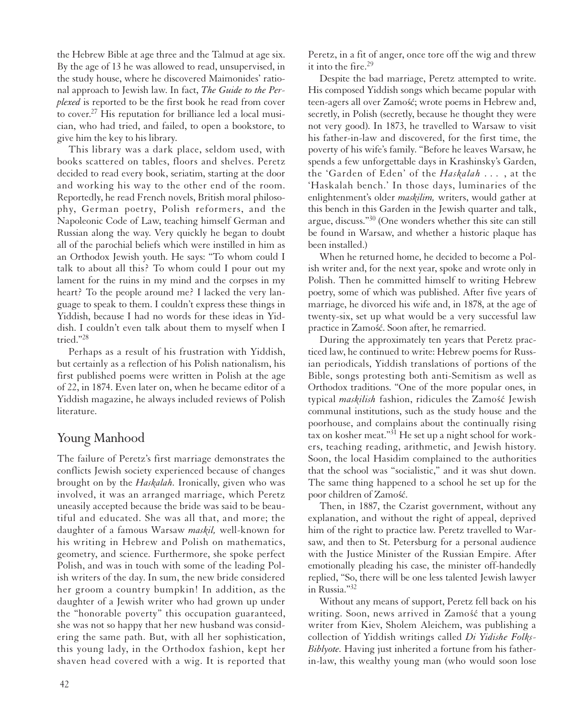the Hebrew Bible at age three and the Talmud at age six. By the age of 13 he was allowed to read, unsupervised, in the study house, where he discovered Maimonides' rational approach to Jewish law. In fact, *The Guide to the Perplexed* is reported to be the first book he read from cover to cover. <sup>27</sup> His reputation for brilliance led a local musician, who had tried, and failed, to open a bookstore, to give him the key to his library.

This library was a dark place, seldom used, with books scattered on tables, floors and shelves. Peretz decided to read every book, seriatim, starting at the door and working his way to the other end of the room. Reportedly, he read French novels, British moral philosophy, German poetry, Polish reformers, and the Napoleonic Code of Law, teaching himself German and Russian along the way. Very quickly he began to doubt all of the parochial beliefs which were instilled in him as an Orthodox Jewish youth. He says: "To whom could I talk to about all this? To whom could I pour out my lament for the ruins in my mind and the corpses in my heart? To the people around me? I lacked the very language to speak to them. I couldn't express these things in Yiddish, because I had no words for these ideas in Yiddish. I couldn't even talk about them to myself when I tried."28

Perhaps as a result of his frustration with Yiddish, but certainly as a reflection of his Polish nationalism, his first published poems were written in Polish at the age of 22, in 1874. Even later on, when he became editor of a Yiddish magazine, he always included reviews of Polish literature.

# Young Manhood

The failure of Peretz's first marriage demonstrates the conflicts Jewish society experienced because of changes brought on by the *Haskalah.* Ironically, given who was involved, it was an arranged marriage, which Peretz uneasily accepted because the bride was said to be beautiful and educated. She was all that, and more; the daughter of a famous Warsaw *maskil,* well-known for his writing in Hebrew and Polish on mathematics, geometry, and science. Furthermore, she spoke perfect Polish, and was in touch with some of the leading Polish writers of the day. In sum, the new bride considered her groom a country bumpkin! In addition, as the daughter of a Jewish writer who had grown up under the "honorable poverty" this occupation guaranteed, she was not so happy that her new husband was considering the same path. But, with all her sophistication, this young lady, in the Orthodox fashion, kept her shaven head covered with a wig. It is reported that Peretz, in a fit of anger, once tore off the wig and threw it into the fire.<sup>29</sup>

Despite the bad marriage, Peretz attempted to write. His composed Yiddish songs which became popular with teen-agers all over Zamość; wrote poems in Hebrew and, secretly, in Polish (secretly, because he thought they were not very good). In 1873, he travelled to Warsaw to visit his father-in-law and discovered, for the first time, the poverty of his wife's family. "Before he leaves Warsaw, he spends a few unforgettable days in Krashinsky's Garden, the 'Garden of Eden' of the *Haskalah* . . . , at the 'Haskalah bench.' In those days, luminaries of the enlightenment's older *maskilim,* writers, would gather at this bench in this Garden in the Jewish quarter and talk, argue, discuss."30 (One wonders whether this site can still be found in Warsaw, and whether a historic plaque has been installed.)

When he returned home, he decided to become a Polish writer and, for the next year, spoke and wrote only in Polish. Then he committed himself to writing Hebrew poetry, some of which was published. After five years of marriage, he divorced his wife and, in 1878, at the age of twenty-six, set up what would be a very successful law practice in Zamość. Soon after, he remarried.

During the approximately ten years that Peretz practiced law, he continued to write: Hebrew poems for Russian periodicals, Yiddish translations of portions of the Bible, songs protesting both anti-Semitism as well as Orthodox traditions. "One of the more popular ones, in typical *maskilish* fashion, ridicules the Zamość Jewish communal institutions, such as the study house and the poorhouse, and complains about the continually rising tax on kosher meat."31 He set up a night school for workers, teaching reading, arithmetic, and Jewish history. Soon, the local Hasidim complained to the authorities that the school was "socialistic," and it was shut down. The same thing happened to a school he set up for the poor children of Zamość.

Then, in 1887, the Czarist government, without any explanation, and without the right of appeal, deprived him of the right to practice law. Peretz travelled to Warsaw, and then to St. Petersburg for a personal audience with the Justice Minister of the Russian Empire. After emotionally pleading his case, the minister off-handedly replied, "So, there will be one less talented Jewish lawyer in Russia."32

Without any means of support, Peretz fell back on his writing. Soon, news arrived in Zamość that a young writer from Kiev, Sholem Aleichem, was publishing a collection of Yiddish writings called *Di Yidishe Folks-Biblyote.* Having just inherited a fortune from his fatherin-law, this wealthy young man (who would soon lose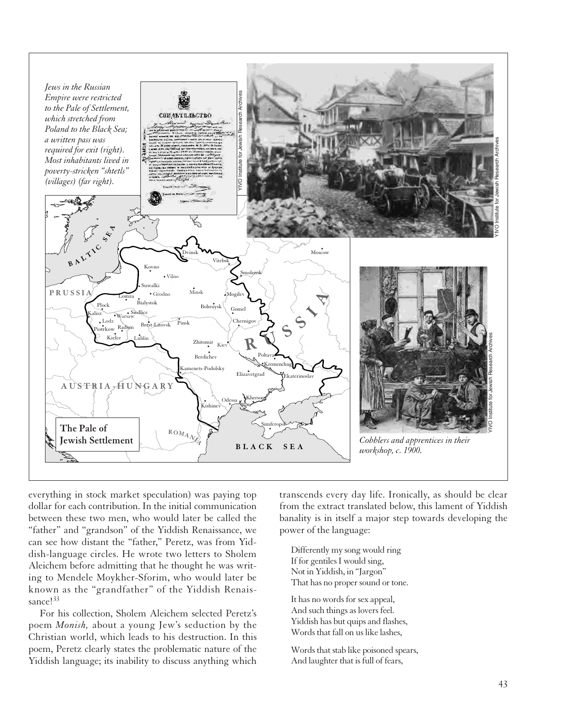

everything in stock market speculation) was paying top dollar for each contribution. In the initial communication between these two men, who would later be called the "father" and "grandson" of the Yiddish Renaissance, we can see how distant the "father," Peretz, was from Yiddish-language circles. He wrote two letters to Sholem Aleichem before admitting that he thought he was writing to Mendele Moykher-Sforim, who would later be known as the "grandfather" of the Yiddish Renaissance!<sup>33</sup>

For his collection, Sholem Aleichem selected Peretz's poem *Monish,* about a young Jew's seduction by the Christian world, which leads to his destruction. In this poem, Peretz clearly states the problematic nature of the Yiddish language; its inability to discuss anything which

transcends every day life. Ironically, as should be clear from the extract translated below, this lament of Yiddish banality is in itself a major step towards developing the power of the language:

Differently my song would ring If for gentiles I would sing, Not in Yiddish, in "Jargon" That has no proper sound or tone.

It has no words for sex appeal, And such things as lovers feel. Yiddish has but quips and flashes, Words that fall on us like lashes,

Words that stab like poisoned spears, And laughter that is full of fears,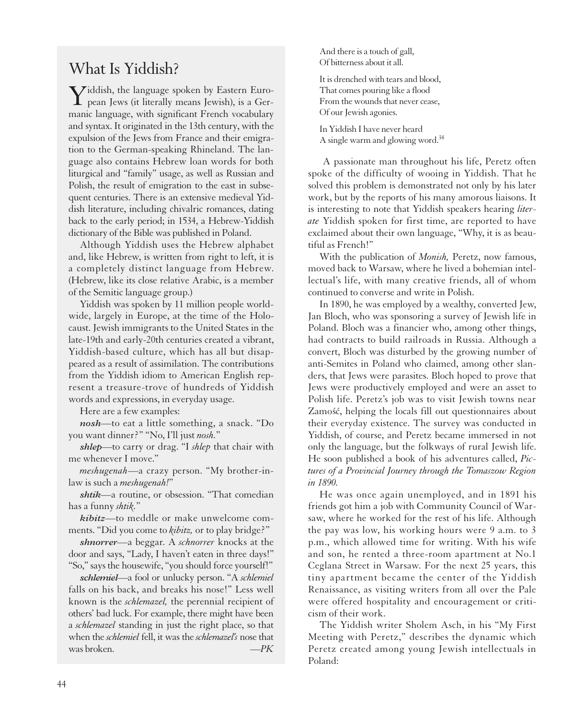# What Is Yiddish?

Yiddish, the language spoken by Eastern Euro-pean Jews (it literally means Jewish), is a Germanic language, with significant French vocabulary and syntax. It originated in the 13th century, with the expulsion of the Jews from France and their emigration to the German-speaking Rhineland. The language also contains Hebrew loan words for both liturgical and "family" usage, as well as Russian and Polish, the result of emigration to the east in subsequent centuries. There is an extensive medieval Yiddish literature, including chivalric romances, dating back to the early period; in 1534, a Hebrew-Yiddish dictionary of the Bible was published in Poland.

Although Yiddish uses the Hebrew alphabet and, like Hebrew, is written from right to left, it is a completely distinct language from Hebrew. (Hebrew, like its close relative Arabic, is a member of the Semitic language group.)

Yiddish was spoken by 11 million people worldwide, largely in Europe, at the time of the Holocaust. Jewish immigrants to the United States in the late-19th and early-20th centuries created a vibrant, Yiddish-based culture, which has all but disappeared as a result of assimilation. The contributions from the Yiddish idiom to American English represent a treasure-trove of hundreds of Yiddish words and expressions, in everyday usage.

Here are a few examples:

*nosh*—to eat a little something, a snack. "Do you want dinner?" "No, I'll just *nosh.*"

*shlep*—to carry or drag. "I *shlep* that chair with me whenever I move."

*meshugenah*—a crazy person. "My brother-inlaw is such a *meshugenah!*"

*shtik*—a routine, or obsession. "That comedian has a funny *shtik.*"

*kibitz*—to meddle or make unwelcome comments. "Did you come to *kibitz,* or to play bridge?"

*shnorrer*—a beggar. A *schnorrer* knocks at the door and says, "Lady, I haven't eaten in three days!" "So," says the housewife, "you should force yourself!"

*schlemiel*—a fool or unlucky person. "A *schlemiel* falls on his back, and breaks his nose!" Less well known is the *schlemazel,* the perennial recipient of others' bad luck. For example, there might have been a *schlemazel* standing in just the right place, so that when the *schlemiel* fell, it was the *schlemazel's* nose that was broken. *—PK*

And there is a touch of gall, Of bitterness about it all.

It is drenched with tears and blood, That comes pouring like a flood From the wounds that never cease, Of our Jewish agonies.

In Yiddish I have never heard A single warm and glowing word.<sup>34</sup>

A passionate man throughout his life, Peretz often spoke of the difficulty of wooing in Yiddish. That he solved this problem is demonstrated not only by his later work, but by the reports of his many amorous liaisons. It is interesting to note that Yiddish speakers hearing *literate* Yiddish spoken for first time, are reported to have exclaimed about their own language, "Why, it is as beautiful as French!"

With the publication of *Monish,* Peretz, now famous, moved back to Warsaw, where he lived a bohemian intellectual's life, with many creative friends, all of whom continued to converse and write in Polish.

In 1890, he was employed by a wealthy, converted Jew, Jan Bloch, who was sponsoring a survey of Jewish life in Poland. Bloch was a financier who, among other things, had contracts to build railroads in Russia. Although a convert, Bloch was disturbed by the growing number of anti-Semites in Poland who claimed, among other slanders, that Jews were parasites. Bloch hoped to prove that Jews were productively employed and were an asset to Polish life. Peretz's job was to visit Jewish towns near Zamość, helping the locals fill out questionnaires about their everyday existence. The survey was conducted in Yiddish, of course, and Peretz became immersed in not only the language, but the folkways of rural Jewish life. He soon published a book of his adventures called, *Pictures of a Provincial Journey through the Tomaszow Region in 1890.*

He was once again unemployed, and in 1891 his friends got him a job with Community Council of Warsaw, where he worked for the rest of his life. Although the pay was low, his working hours were 9 a.m. to 3 p.m., which allowed time for writing. With his wife and son, he rented a three-room apartment at No.1 Ceglana Street in Warsaw. For the next 25 years, this tiny apartment became the center of the Yiddish Renaissance, as visiting writers from all over the Pale were offered hospitality and encouragement or criticism of their work.

The Yiddish writer Sholem Asch, in his "My First Meeting with Peretz," describes the dynamic which Peretz created among young Jewish intellectuals in Poland: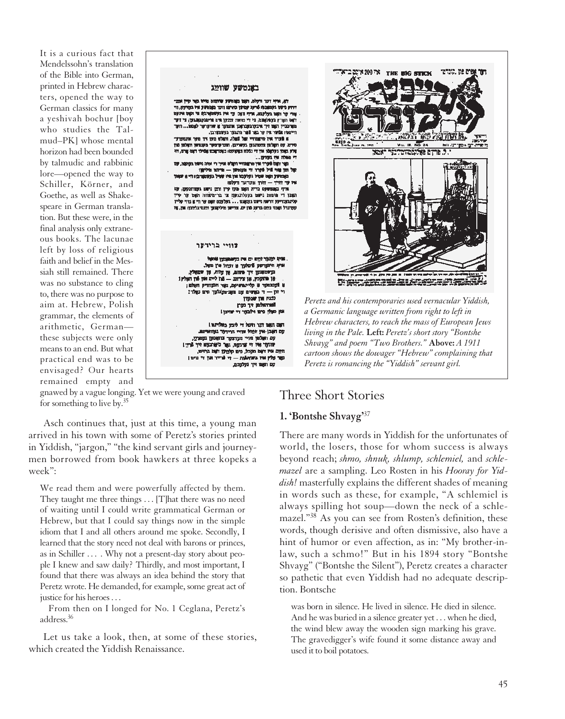It is a curious fact that Mendelssohn's translation of the Bible into German, printed in Hebrew characters, opened the way to German classics for many a yeshivah bochur [boy who studies the Talmud–PK] whose mental horizon had been bounded by talmudic and rabbinic lore—opened the way to Schiller, Körner, and Goethe, as well as Shakespeare in German translation. But these were, in the final analysis only extraneous books. The lacunae left by loss of religious faith and belief in the Messiah still remained. There was no substance to cling to, there was no purpose to aim at. Hebrew, Polish grammar, the elements of arithmetic, German these subjects were only means to an end. But what practical end was to be envisaged? Our hearts remained empty and



gnawed by a vague longing. Yet we were young and craved for something to live by.35

Asch continues that, just at this time, a young man arrived in his town with some of Peretz's stories printed in Yiddish, "jargon," "the kind servant girls and journeymen borrowed from book hawkers at three kopeks a week":

We read them and were powerfully affected by them. They taught me three things . . . [T]hat there was no need of waiting until I could write grammatical German or Hebrew, but that I could say things now in the simple idiom that I and all others around me spoke. Secondly, I learned that the story need not deal with barons or princes, as in Schiller ... . Why not a present-day story about people I knew and saw daily? Thirdly, and most important, I found that there was always an idea behind the story that Peretz wrote. He demanded, for example, some great act of justice for his heroes . . .

From then on I longed for No. 1 Ceglana, Peretz's address.36

Let us take a look, then, at some of these stories, which created the Yiddish Renaissance.

## Three Short Stories

### **1. 'Bontshe Shvayg'**<sup>37</sup>

There are many words in Yiddish for the unfortunates of world, the losers, those for whom success is always beyond reach; *shmo, shnuk, shlump, schlemiel,* and *schlemazel* are a sampling. Leo Rosten in his *Hooray for Yiddish!* masterfully explains the different shades of meaning in words such as these, for example, "A schlemiel is always spilling hot soup—down the neck of a schlemazel."38 As you can see from Rosten's definition, these words, though derisive and often dismissive, also have a hint of humor or even affection, as in: "My brother-inlaw, such a schmo!" But in his 1894 story "Bontshe Shvayg" ("Bontshe the Silent"), Peretz creates a character so pathetic that even Yiddish had no adequate description. Bontsche

was born in silence. He lived in silence. He died in silence. And he was buried in a silence greater yet . . . when he died, the wind blew away the wooden sign marking his grave. The gravedigger's wife found it some distance away and used it to boil potatoes.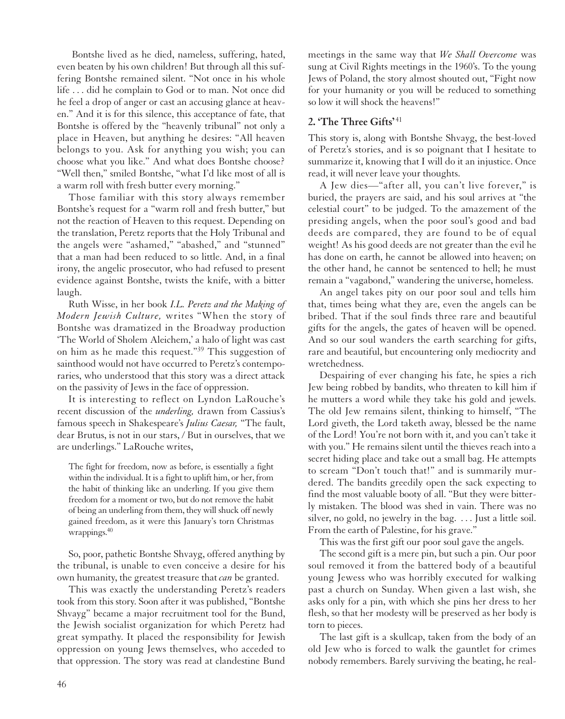Bontshe lived as he died, nameless, suffering, hated, even beaten by his own children! But through all this suffering Bontshe remained silent. "Not once in his whole life . . . did he complain to God or to man. Not once did he feel a drop of anger or cast an accusing glance at heaven." And it is for this silence, this acceptance of fate, that Bontshe is offered by the "heavenly tribunal" not only a place in Heaven, but anything he desires: "All heaven belongs to you. Ask for anything you wish; you can choose what you like." And what does Bontshe choose? "Well then," smiled Bontshe, "what I'd like most of all is a warm roll with fresh butter every morning."

Those familiar with this story always remember Bontshe's request for a "warm roll and fresh butter," but not the reaction of Heaven to this request. Depending on the translation, Peretz reports that the Holy Tribunal and the angels were "ashamed," "abashed," and "stunned" that a man had been reduced to so little. And, in a final irony, the angelic prosecutor, who had refused to present evidence against Bontshe, twists the knife, with a bitter laugh.

Ruth Wisse, in her book *I.L. Peretz and the Making of Modern Jewish Culture,* writes "When the story of Bontshe was dramatized in the Broadway production 'The World of Sholem Aleichem,' a halo of light was cast on him as he made this request."39 This suggestion of sainthood would not have occurred to Peretz's contemporaries, who understood that this story was a direct attack on the passivity of Jews in the face of oppression.

It is interesting to reflect on Lyndon LaRouche's recent discussion of the *underling,* drawn from Cassius's famous speech in Shakespeare's *Julius Caesar,* "The fault, dear Brutus, is not in our stars, / But in ourselves, that we are underlings." LaRouche writes,

The fight for freedom, now as before, is essentially a fight within the individual. It is a fight to uplift him, or her, from the habit of thinking like an underling. If you give them freedom for a moment or two, but do not remove the habit of being an underling from them, they will shuck off newly gained freedom, as it were this January's torn Christmas wrappings.<sup>40</sup>

So, poor, pathetic Bontshe Shvayg, offered anything by the tribunal, is unable to even conceive a desire for his own humanity, the greatest treasure that *can* be granted.

This was exactly the understanding Peretz's readers took from this story. Soon after it was published, "Bontshe Shvayg" became a major recruitment tool for the Bund, the Jewish socialist organization for which Peretz had great sympathy. It placed the responsibility for Jewish oppression on young Jews themselves, who acceded to that oppression. The story was read at clandestine Bund meetings in the same way that *We Shall Overcome* was sung at Civil Rights meetings in the 1960's. To the young Jews of Poland, the story almost shouted out, "Fight now for your humanity or you will be reduced to something so low it will shock the heavens!"

## **2. 'The Three Gifts'** <sup>41</sup>

This story is, along with Bontshe Shvayg, the best-loved of Peretz's stories, and is so poignant that I hesitate to summarize it, knowing that I will do it an injustice. Once read, it will never leave your thoughts.

A Jew dies—"after all, you can't live forever," is buried, the prayers are said, and his soul arrives at "the celestial court" to be judged. To the amazement of the presiding angels, when the poor soul's good and bad deeds are compared, they are found to be of equal weight! As his good deeds are not greater than the evil he has done on earth, he cannot be allowed into heaven; on the other hand, he cannot be sentenced to hell; he must remain a "vagabond," wandering the universe, homeless.

An angel takes pity on our poor soul and tells him that, times being what they are, even the angels can be bribed. That if the soul finds three rare and beautiful gifts for the angels, the gates of heaven will be opened. And so our soul wanders the earth searching for gifts, rare and beautiful, but encountering only mediocrity and wretchedness.

Despairing of ever changing his fate, he spies a rich Jew being robbed by bandits, who threaten to kill him if he mutters a word while they take his gold and jewels. The old Jew remains silent, thinking to himself, "The Lord giveth, the Lord taketh away, blessed be the name of the Lord! You're not born with it, and you can't take it with you." He remains silent until the thieves reach into a secret hiding place and take out a small bag. He attempts to scream "Don't touch that!" and is summarily murdered. The bandits greedily open the sack expecting to find the most valuable booty of all. "But they were bitterly mistaken. The blood was shed in vain. There was no silver, no gold, no jewelry in the bag. . . . Just a little soil. From the earth of Palestine, for his grave."

This was the first gift our poor soul gave the angels.

The second gift is a mere pin, but such a pin. Our poor soul removed it from the battered body of a beautiful young Jewess who was horribly executed for walking past a church on Sunday. When given a last wish, she asks only for a pin, with which she pins her dress to her flesh, so that her modesty will be preserved as her body is torn to pieces.

The last gift is a skullcap, taken from the body of an old Jew who is forced to walk the gauntlet for crimes nobody remembers. Barely surviving the beating, he real-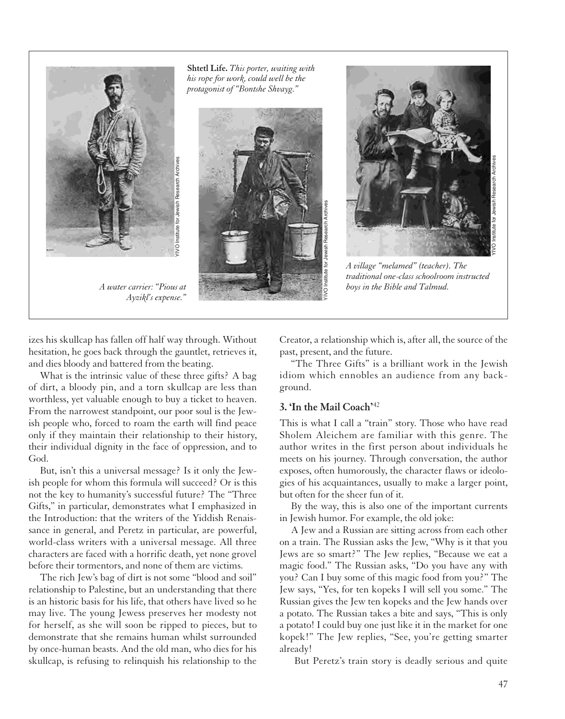

**Shtetl Life.** *This porter, waiting with his rope for work, could well be the protagonist of "Bontshe Shvayg."*





*A village "melamed" (teacher). The traditional one-class schoolroom instructed boys in the Bible and Talmud.*

izes his skullcap has fallen off half way through. Without hesitation, he goes back through the gauntlet, retrieves it, and dies bloody and battered from the beating.

*Ayzikl's expense."*

What is the intrinsic value of these three gifts? A bag of dirt, a bloody pin, and a torn skullcap are less than worthless, yet valuable enough to buy a ticket to heaven. From the narrowest standpoint, our poor soul is the Jewish people who, forced to roam the earth will find peace only if they maintain their relationship to their history, their individual dignity in the face of oppression, and to God.

But, isn't this a universal message? Is it only the Jewish people for whom this formula will succeed? Or is this not the key to humanity's successful future? The "Three Gifts," in particular, demonstrates what I emphasized in the Introduction: that the writers of the Yiddish Renaissance in general, and Peretz in particular, are powerful, world-class writers with a universal message. All three characters are faced with a horrific death, yet none grovel before their tormentors, and none of them are victims.

The rich Jew's bag of dirt is not some "blood and soil" relationship to Palestine, but an understanding that there is an historic basis for his life, that others have lived so he may live. The young Jewess preserves her modesty not for herself, as she will soon be ripped to pieces, but to demonstrate that she remains human whilst surrounded by once-human beasts. And the old man, who dies for his skullcap, is refusing to relinquish his relationship to the

Creator, a relationship which is, after all, the source of the past, present, and the future.

"The Three Gifts" is a brilliant work in the Jewish idiom which ennobles an audience from any background.

### **3. 'In the Mail Coach'**<sup>42</sup>

This is what I call a "train" story. Those who have read Sholem Aleichem are familiar with this genre. The author writes in the first person about individuals he meets on his journey. Through conversation, the author exposes, often humorously, the character flaws or ideologies of his acquaintances, usually to make a larger point, but often for the sheer fun of it.

By the way, this is also one of the important currents in Jewish humor. For example, the old joke:

A Jew and a Russian are sitting across from each other on a train. The Russian asks the Jew, "Why is it that you Jews are so smart?" The Jew replies, "Because we eat a magic food." The Russian asks, "Do you have any with you? Can I buy some of this magic food from you?" The Jew says, "Yes, for ten kopeks I will sell you some." The Russian gives the Jew ten kopeks and the Jew hands over a potato. The Russian takes a bite and says, "This is only a potato! I could buy one just like it in the market for one kopek!" The Jew replies, "See, you're getting smarter already!

But Peretz's train story is deadly serious and quite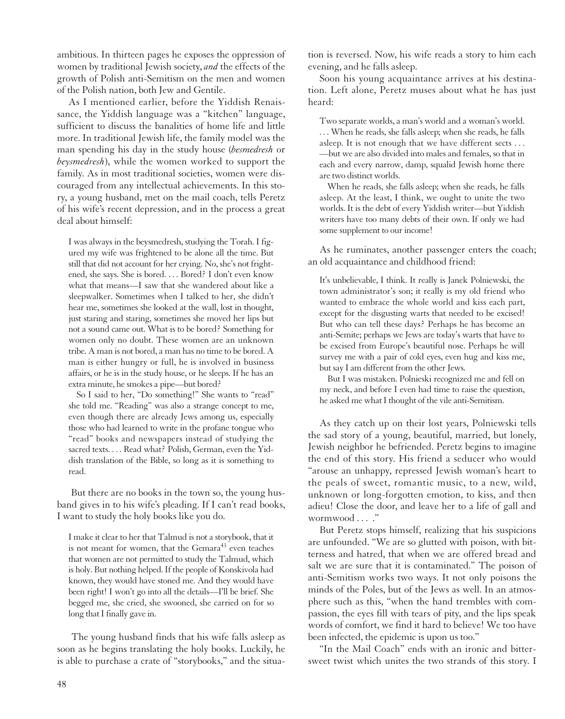ambitious. In thirteen pages he exposes the oppression of women by traditional Jewish society, *and* the effects of the growth of Polish anti-Semitism on the men and women of the Polish nation, both Jew and Gentile.

As I mentioned earlier, before the Yiddish Renaissance, the Yiddish language was a "kitchen" language, sufficient to discuss the banalities of home life and little more. In traditional Jewish life, the family model was the man spending his day in the study house (*besmedresh* or *beysmedresh*), while the women worked to support the family. As in most traditional societies, women were discouraged from any intellectual achievements. In this story, a young husband, met on the mail coach, tells Peretz of his wife's recent depression, and in the process a great deal about himself:

I was always in the beysmedresh, studying the Torah. I figured my wife was frightened to be alone all the time. But still that did not account for her crying. No, she's not frightened, she says. She is bored. . . . Bored? I don't even know what that means—I saw that she wandered about like a sleepwalker. Sometimes when I talked to her, she didn't hear me, sometimes she looked at the wall, lost in thought, just staring and staring, sometimes she moved her lips but not a sound came out. What is to be bored? Something for women only no doubt. These women are an unknown tribe. A man is not bored, a man has no time to be bored. A man is either hungry or full, he is involved in business affairs, or he is in the study house, or he sleeps. If he has an extra minute, he smokes a pipe—but bored?

So I said to her, "Do something!" She wants to "read" she told me. "Reading" was also a strange concept to me, even though there are already Jews among us, especially those who had learned to write in the profane tongue who "read" books and newspapers instead of studying the sacred texts. . . . Read what? Polish, German, even the Yiddish translation of the Bible, so long as it is something to read.

But there are no books in the town so, the young husband gives in to his wife's pleading. If I can't read books, I want to study the holy books like you do.

I make it clear to her that Talmud is not a storybook, that it is not meant for women, that the Gemara<sup>43</sup> even teaches that women are not permitted to study the Talmud, which is holy. But nothing helped. If the people of Konskivola had known, they would have stoned me. And they would have been right! I won't go into all the details—I'll be brief. She begged me, she cried, she swooned, she carried on for so long that I finally gave in.

The young husband finds that his wife falls asleep as soon as he begins translating the holy books. Luckily, he is able to purchase a crate of "storybooks," and the situa-

tion is reversed. Now, his wife reads a story to him each evening, and he falls asleep.

Soon his young acquaintance arrives at his destination. Left alone, Peretz muses about what he has just heard:

Two separate worlds, a man's world and a woman's world. . . . When he reads, she falls asleep; when she reads, he falls asleep. It is not enough that we have different sects . . . —but we are also divided into males and females, so that in each and every narrow, damp, squalid Jewish home there are two distinct worlds.

When he reads, she falls asleep; when she reads, he falls asleep. At the least, I think, we ought to unite the two worlds. It is the debt of every Yiddish writer—but Yiddish writers have too many debts of their own. If only we had some supplement to our income!

As he ruminates, another passenger enters the coach; an old acquaintance and childhood friend:

It's unbelievable, I think. It really is Janek Polniewski, the town administrator's son; it really is my old friend who wanted to embrace the whole world and kiss each part, except for the disgusting warts that needed to be excised! But who can tell these days? Perhaps he has become an anti-Semite; perhaps we Jews are today's warts that have to be excised from Europe's beautiful nose. Perhaps he will survey me with a pair of cold eyes, even hug and kiss me, but say I am different from the other Jews.

But I was mistaken. Polnieski recognized me and fell on my neck, and before I even had time to raise the question, he asked me what I thought of the vile anti-Semitism.

As they catch up on their lost years, Polniewski tells the sad story of a young, beautiful, married, but lonely, Jewish neighbor he befriended. Peretz begins to imagine the end of this story. His friend a seducer who would "arouse an unhappy, repressed Jewish woman's heart to the peals of sweet, romantic music, to a new, wild, unknown or long-forgotten emotion, to kiss, and then adieu! Close the door, and leave her to a life of gall and wormwood . . . ."

But Peretz stops himself, realizing that his suspicions are unfounded. "We are so glutted with poison, with bitterness and hatred, that when we are offered bread and salt we are sure that it is contaminated." The poison of anti-Semitism works two ways. It not only poisons the minds of the Poles, but of the Jews as well. In an atmosphere such as this, "when the hand trembles with compassion, the eyes fill with tears of pity, and the lips speak words of comfort, we find it hard to believe! We too have been infected, the epidemic is upon us too."

"In the Mail Coach" ends with an ironic and bittersweet twist which unites the two strands of this story. I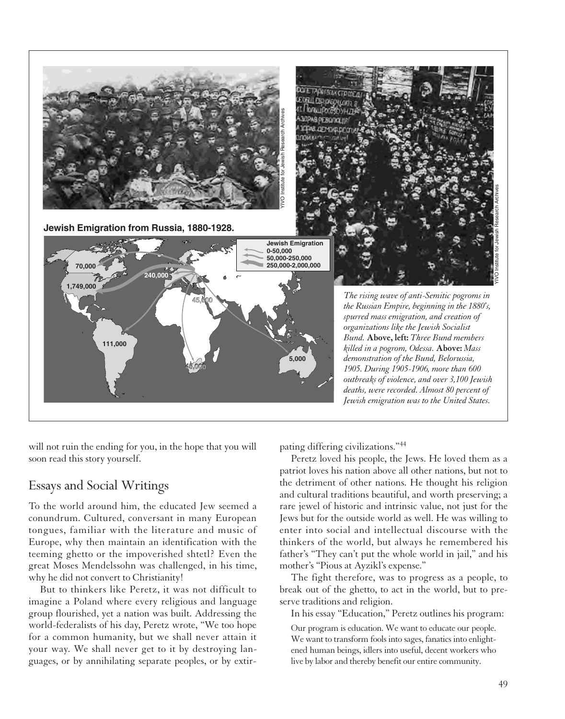

will not ruin the ending for you, in the hope that you will soon read this story yourself.

# Essays and Social Writings

To the world around him, the educated Jew seemed a conundrum. Cultured, conversant in many European tongues, familiar with the literature and music of Europe, why then maintain an identification with the teeming ghetto or the impoverished shtetl? Even the great Moses Mendelssohn was challenged, in his time, why he did not convert to Christianity!

But to thinkers like Peretz, it was not difficult to imagine a Poland where every religious and language group flourished, yet a nation was built. Addressing the world-federalists of his day, Peretz wrote, "We too hope for a common humanity, but we shall never attain it your way. We shall never get to it by destroying languages, or by annihilating separate peoples, or by extirpating differing civilizations."<sup>44</sup>

Peretz loved his people, the Jews. He loved them as a patriot loves his nation above all other nations, but not to the detriment of other nations. He thought his religion and cultural traditions beautiful, and worth preserving; a rare jewel of historic and intrinsic value, not just for the Jews but for the outside world as well. He was willing to enter into social and intellectual discourse with the thinkers of the world, but always he remembered his father's "They can't put the whole world in jail," and his mother's "Pious at Ayzikl's expense."

The fight therefore, was to progress as a people, to break out of the ghetto, to act in the world, but to preserve traditions and religion.

In his essay "Education," Peretz outlines his program:

Our program is education. We want to educate our people. We want to transform fools into sages, fanatics into enlightened human beings, idlers into useful, decent workers who live by labor and thereby benefit our entire community.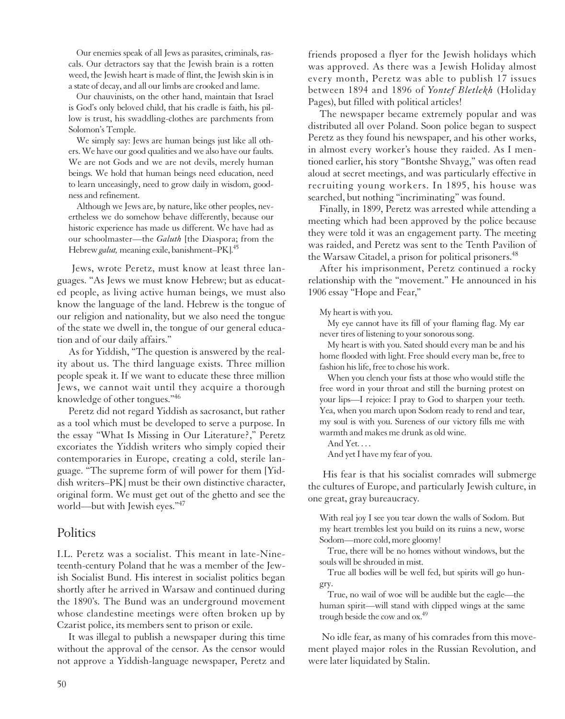Our enemies speak of all Jews as parasites, criminals, rascals. Our detractors say that the Jewish brain is a rotten weed, the Jewish heart is made of flint, the Jewish skin is in a state of decay, and all our limbs are crooked and lame.

Our chauvinists, on the other hand, maintain that Israel is God's only beloved child, that his cradle is faith, his pillow is trust, his swaddling-clothes are parchments from Solomon's Temple.

We simply say: Jews are human beings just like all others. We have our good qualities and we also have our faults. We are not Gods and we are not devils, merely human beings. We hold that human beings need education, need to learn unceasingly, need to grow daily in wisdom, goodness and refinement.

Although we Jews are, by nature, like other peoples, nevertheless we do somehow behave differently, because our historic experience has made us different. We have had as our schoolmaster—the *Galuth* [the Diaspora; from the Hebrew *galut,* meaning exile, banishment–PK].45

Jews, wrote Peretz, must know at least three languages. "As Jews we must know Hebrew; but as educated people, as living active human beings, we must also know the language of the land. Hebrew is the tongue of our religion and nationality, but we also need the tongue of the state we dwell in, the tongue of our general education and of our daily affairs."

As for Yiddish, "The question is answered by the reality about us. The third language exists. Three million people speak it. If we want to educate these three million Jews, we cannot wait until they acquire a thorough knowledge of other tongues."46

Peretz did not regard Yiddish as sacrosanct, but rather as a tool which must be developed to serve a purpose. In the essay "What Is Missing in Our Literature?," Peretz excoriates the Yiddish writers who simply copied their contemporaries in Europe, creating a cold, sterile language. "The supreme form of will power for them [Yiddish writers–PK] must be their own distinctive character, original form. We must get out of the ghetto and see the world—but with Jewish eyes."47

## **Politics**

I.L. Peretz was a socialist. This meant in late-Nineteenth-century Poland that he was a member of the Jewish Socialist Bund. His interest in socialist politics began shortly after he arrived in Warsaw and continued during the 1890's. The Bund was an underground movement whose clandestine meetings were often broken up by Czarist police, its members sent to prison or exile.

It was illegal to publish a newspaper during this time without the approval of the censor. As the censor would not approve a Yiddish-language newspaper, Peretz and

friends proposed a flyer for the Jewish holidays which was approved. As there was a Jewish Holiday almost every month, Peretz was able to publish 17 issues between 1894 and 1896 of *Yontef Bletlekh* (Holiday Pages), but filled with political articles!

The newspaper became extremely popular and was distributed all over Poland. Soon police began to suspect Peretz as they found his newspaper, and his other works, in almost every worker's house they raided. As I mentioned earlier, his story "Bontshe Shvayg," was often read aloud at secret meetings, and was particularly effective in recruiting young workers. In 1895, his house was searched, but nothing "incriminating" was found.

Finally, in 1899, Peretz was arrested while attending a meeting which had been approved by the police because they were told it was an engagement party. The meeting was raided, and Peretz was sent to the Tenth Pavilion of the Warsaw Citadel, a prison for political prisoners.<sup>48</sup>

After his imprisonment, Peretz continued a rocky relationship with the "movement." He announced in his 1906 essay "Hope and Fear,"

My heart is with you.

My eye cannot have its fill of your flaming flag. My ear never tires of listening to your sonorous song.

My heart is with you. Sated should every man be and his home flooded with light. Free should every man be, free to fashion his life, free to chose his work.

When you clench your fists at those who would stifle the free word in your throat and still the burning protest on your lips—I rejoice: I pray to God to sharpen your teeth. Yea, when you march upon Sodom ready to rend and tear, my soul is with you. Sureness of our victory fills me with warmth and makes me drunk as old wine.

And Yet. . . .

And yet I have my fear of you.

His fear is that his socialist comrades will submerge the cultures of Europe, and particularly Jewish culture, in one great, gray bureaucracy.

With real joy I see you tear down the walls of Sodom. But my heart trembles lest you build on its ruins a new, worse Sodom—more cold, more gloomy!

True, there will be no homes without windows, but the souls will be shrouded in mist.

True all bodies will be well fed, but spirits will go hungry.

True, no wail of woe will be audible but the eagle—the human spirit—will stand with clipped wings at the same trough beside the cow and ox.<sup>49</sup>

No idle fear, as many of his comrades from this movement played major roles in the Russian Revolution, and were later liquidated by Stalin.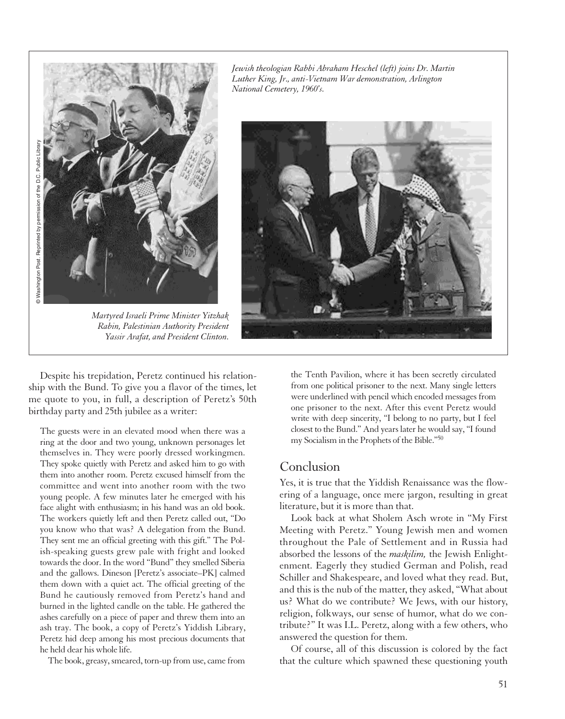

*Martyred Israeli Prime Minister Yitzhak Rabin, Palestinian Authority President Yassir Arafat, and President Clinton.*

*Jewish theologian Rabbi Abraham Heschel (left) joins Dr. Martin Luther King, Jr., anti-Vietnam War demonstration, Arlington National Cemetery, 1960's.*



Despite his trepidation, Peretz continued his relationship with the Bund. To give you a flavor of the times, let me quote to you, in full, a description of Peretz's 50th birthday party and 25th jubilee as a writer:

The guests were in an elevated mood when there was a ring at the door and two young, unknown personages let themselves in. They were poorly dressed workingmen. They spoke quietly with Peretz and asked him to go with them into another room. Peretz excused himself from the committee and went into another room with the two young people. A few minutes later he emerged with his face alight with enthusiasm; in his hand was an old book. The workers quietly left and then Peretz called out, "Do you know who that was? A delegation from the Bund. They sent me an official greeting with this gift." The Polish-speaking guests grew pale with fright and looked towards the door. In the word "Bund" they smelled Siberia and the gallows. Dineson [Peretz's associate–PK] calmed them down with a quiet act. The official greeting of the Bund he cautiously removed from Peretz's hand and burned in the lighted candle on the table. He gathered the ashes carefully on a piece of paper and threw them into an ash tray. The book, a copy of Peretz's Yiddish Library, Peretz hid deep among his most precious documents that he held dear his whole life.

The book, greasy, smeared, torn-up from use, came from

the Tenth Pavilion, where it has been secretly circulated from one political prisoner to the next. Many single letters were underlined with pencil which encoded messages from one prisoner to the next. After this event Peretz would write with deep sincerity, "I belong to no party, but I feel closest to the Bund." And years later he would say, "I found my Socialism in the Prophets of the Bible."50

## Conclusion

Yes, it is true that the Yiddish Renaissance was the flowering of a language, once mere jargon, resulting in great literature, but it is more than that.

Look back at what Sholem Asch wrote in "My First Meeting with Peretz." Young Jewish men and women throughout the Pale of Settlement and in Russia had absorbed the lessons of the *maskilim,* the Jewish Enlightenment. Eagerly they studied German and Polish, read Schiller and Shakespeare, and loved what they read. But, and this is the nub of the matter, they asked, "What about us? What do we contribute? We Jews, with our history, religion, folkways, our sense of humor, what do we contribute?" It was I.L. Peretz, along with a few others, who answered the question for them.

Of course, all of this discussion is colored by the fact that the culture which spawned these questioning youth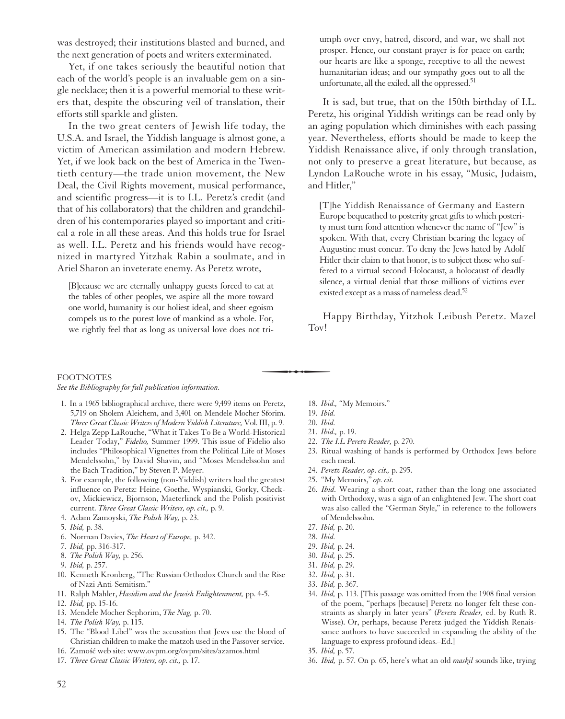was destroyed; their institutions blasted and burned, and the next generation of poets and writers exterminated.

Yet, if one takes seriously the beautiful notion that each of the world's people is an invaluable gem on a single necklace; then it is a powerful memorial to these writers that, despite the obscuring veil of translation, their efforts still sparkle and glisten.

In the two great centers of Jewish life today, the U.S.A. and Israel, the Yiddish language is almost gone, a victim of American assimilation and modern Hebrew. Yet, if we look back on the best of America in the Twentieth century—the trade union movement, the New Deal, the Civil Rights movement, musical performance, and scientific progress—it is to I.L. Peretz's credit (and that of his collaborators) that the children and grandchildren of his contemporaries played so important and critical a role in all these areas. And this holds true for Israel as well. I.L. Peretz and his friends would have recognized in martyred Yitzhak Rabin a soulmate, and in Ariel Sharon an inveterate enemy. As Peretz wrote,

[B]ecause we are eternally unhappy guests forced to eat at the tables of other peoples, we aspire all the more toward one world, humanity is our holiest ideal, and sheer egoism compels us to the purest love of mankind as a whole. For, we rightly feel that as long as universal love does not tri-<br> **FOOTNOTES**<br> *See the Bibliography for full publication information*.

umph over envy, hatred, discord, and war, we shall not prosper. Hence, our constant prayer is for peace on earth; our hearts are like a sponge, receptive to all the newest humanitarian ideas; and our sympathy goes out to all the unfortunate, all the exiled, all the oppressed.<sup>51</sup>

It is sad, but true, that on the 150th birthday of I.L. Peretz, his original Yiddish writings can be read only by an aging population which diminishes with each passing year. Nevertheless, efforts should be made to keep the Yiddish Renaissance alive, if only through translation, not only to preserve a great literature, but because, as Lyndon LaRouche wrote in his essay, "Music, Judaism, and Hitler,"

[T]he Yiddish Renaissance of Germany and Eastern Europe bequeathed to posterity great gifts to which posterity must turn fond attention whenever the name of "Jew" is spoken. With that, every Christian bearing the legacy of Augustine must concur. To deny the Jews hated by Adolf Hitler their claim to that honor, is to subject those who suffered to a virtual second Holocaust, a holocaust of deadly silence, a virtual denial that those millions of victims ever existed except as a mass of nameless dead.<sup>52</sup>

Happy Birthday, Yitzhok Leibush Peretz. Mazel Tov!

#### **FOOTNOTES**

- 1. In a 1965 bibliographical archive, there were 9,499 items on Peretz, 5,719 on Sholem Aleichem, and 3,401 on Mendele Mocher Sforim. *Three Great Classic Writers of Modern Yiddish Literature,* Vol. III, p. 9.
- 2. Helga Zepp LaRouche, "What it Takes To Be a World-Historical Leader Today," *Fidelio,* Summer 1999. This issue of Fidelio also includes "Philosophical Vignettes from the Political Life of Moses Mendelssohn," by David Shavin, and "Moses Mendelssohn and the Bach Tradition," by Steven P. Meyer.
- 3. For example, the following (non-Yiddish) writers had the greatest influence on Peretz: Heine, Goethe, Wyspianski, Gorky, Checkov, Mickiewicz, Bjornson, Maeterlinck and the Polish positivist current. *Three Great Classic Writers, op. cit.,* p. 9.
- 4. Adam Zamoyski, *The Polish Way,* p. 23.
- 5. *Ibid,* p. 38.
- 6. Norman Davies, *The Heart of Europe,* p. 342.
- 7. *Ibid,* pp. 316-317.
- 8. *The Polish Way,* p. 256.
- 9. *Ibid,* p. 257.
- 10. Kenneth Kronberg, "The Russian Orthodox Church and the Rise of Nazi Anti-Semitism."
- 11. Ralph Mahler, *Hasidism and the Jewish Enlightenment,* pp. 4-5.
- 12. *Ibid,* pp. 15-16.
- 13. Mendele Mocher Sephorim, *The Nag,* p. 70.
- 14. *The Polish Way,* p. 115.
- 15. The "Blood Libel" was the accusation that Jews use the blood of Christian children to make the matzoh used in the Passover service.
- 16. Zamość web site: www.ovpm.org/ovpm/sites/azamos.html
- 17. *Three Great Classic Writers, op. cit.,* p. 17.
- 18. *Ibid.,* "My Memoirs."
- 19. *Ibid.*
- 20. *Ibid.*
- 21. *Ibid.,* p. 19.
- 22. *The I.L Peretz Reader,* p. 270.
- 23. Ritual washing of hands is performed by Orthodox Jews before each meal.
- 24. *Peretz Reader, op. cit.,* p. 295.
- 25. "My Memoirs," *op. cit.*
- 26. *Ibid.* Wearing a short coat, rather than the long one associated with Orthodoxy, was a sign of an enlightened Jew. The short coat was also called the "German Style," in reference to the followers of Mendelssohn.
- 27. *Ibid,* p. 20.
- 28. *Ibid.*
- 29. *Ibid,* p. 24.
- 30. *Ibid,* p. 25.
- 31. *Ibid,* p. 29.
- 32. *Ibid,* p. 31.
- 33. *Ibid,* p. 367.
- 34. *Ibid,* p. 113. [This passage was omitted from the 1908 final version of the poem, "perhaps [because] Peretz no longer felt these constraints as sharply in later years" (*Peretz Reader,* ed. by Ruth R. Wisse). Or, perhaps, because Peretz judged the Yiddish Renaissance authors to have succeeded in expanding the ability of the language to express profound ideas.–Ed.]
- 35. *Ibid,* p. 57.
- 36. *Ibid,* p. 57. On p. 65, here's what an old *maskil* sounds like, trying